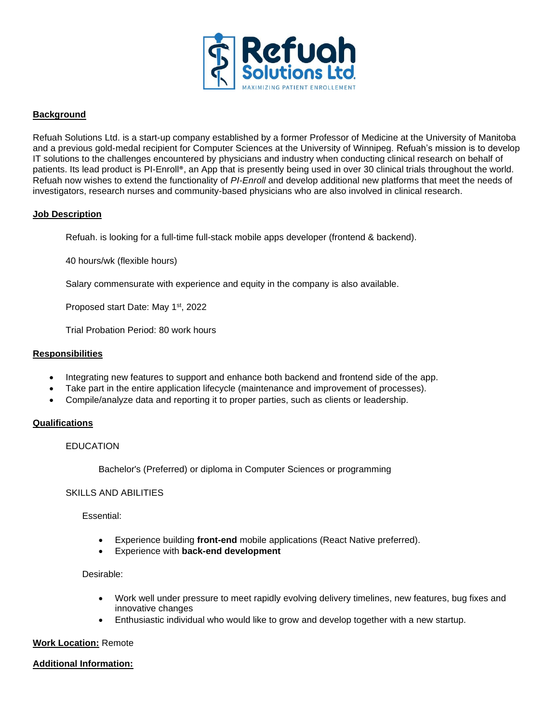

## **Background**

Refuah Solutions Ltd. is a start-up company established by a former Professor of Medicine at the University of Manitoba and a previous gold-medal recipient for Computer Sciences at the University of Winnipeg. Refuah's mission is to develop IT solutions to the challenges encountered by physicians and industry when conducting clinical research on behalf of patients. Its lead product is PI-Enroll®, an App that is presently being used in over 30 clinical trials throughout the world. Refuah now wishes to extend the functionality of *PI-Enroll* and develop additional new platforms that meet the needs of investigators, research nurses and community-based physicians who are also involved in clinical research.

## **Job Description**

Refuah. is looking for a full-time full-stack mobile apps developer (frontend & backend).

40 hours/wk (flexible hours)

Salary commensurate with experience and equity in the company is also available.

Proposed start Date: May 1st, 2022

Trial Probation Period: 80 work hours

## **Responsibilities**

- Integrating new features to support and enhance both backend and frontend side of the app.
- Take part in the entire application lifecycle (maintenance and improvement of processes).
- Compile/analyze data and reporting it to proper parties, such as clients or leadership.

## **Qualifications**

# EDUCATION

Bachelor's (Preferred) or diploma in Computer Sciences or programming

## SKILLS AND ABILITIES

Essential:

- Experience building **front-end** mobile applications (React Native preferred).
- Experience with **back-end development**

## Desirable:

- Work well under pressure to meet rapidly evolving delivery timelines, new features, bug fixes and innovative changes
- Enthusiastic individual who would like to grow and develop together with a new startup.

## **Work Location:** Remote

## **Additional Information:**